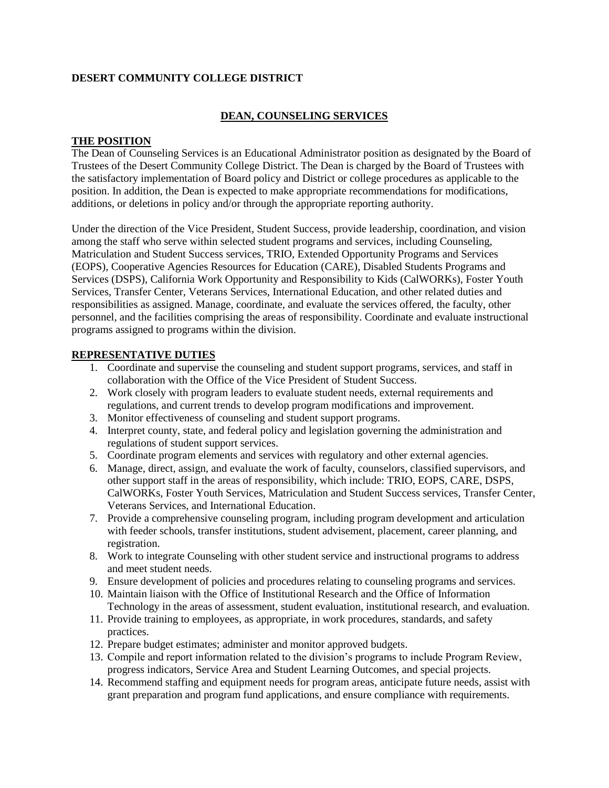### **DESERT COMMUNITY COLLEGE DISTRICT**

## **DEAN, COUNSELING SERVICES**

#### **THE POSITION**

The Dean of Counseling Services is an Educational Administrator position as designated by the Board of Trustees of the Desert Community College District. The Dean is charged by the Board of Trustees with the satisfactory implementation of Board policy and District or college procedures as applicable to the position. In addition, the Dean is expected to make appropriate recommendations for modifications, additions, or deletions in policy and/or through the appropriate reporting authority.

Under the direction of the Vice President, Student Success, provide leadership, coordination, and vision among the staff who serve within selected student programs and services, including Counseling, Matriculation and Student Success services, TRIO, Extended Opportunity Programs and Services (EOPS), Cooperative Agencies Resources for Education (CARE), Disabled Students Programs and Services (DSPS), California Work Opportunity and Responsibility to Kids (CalWORKs), Foster Youth Services, Transfer Center, Veterans Services, International Education, and other related duties and responsibilities as assigned. Manage, coordinate, and evaluate the services offered, the faculty, other personnel, and the facilities comprising the areas of responsibility. Coordinate and evaluate instructional programs assigned to programs within the division.

### **REPRESENTATIVE DUTIES**

- 1. Coordinate and supervise the counseling and student support programs, services, and staff in collaboration with the Office of the Vice President of Student Success.
- 2. Work closely with program leaders to evaluate student needs, external requirements and regulations, and current trends to develop program modifications and improvement.
- 3. Monitor effectiveness of counseling and student support programs.
- 4. Interpret county, state, and federal policy and legislation governing the administration and regulations of student support services.
- 5. Coordinate program elements and services with regulatory and other external agencies.
- 6. Manage, direct, assign, and evaluate the work of faculty, counselors, classified supervisors, and other support staff in the areas of responsibility, which include: TRIO, EOPS, CARE, DSPS, CalWORKs, Foster Youth Services, Matriculation and Student Success services, Transfer Center, Veterans Services, and International Education.
- 7. Provide a comprehensive counseling program, including program development and articulation with feeder schools, transfer institutions, student advisement, placement, career planning, and registration.
- 8. Work to integrate Counseling with other student service and instructional programs to address and meet student needs.
- 9. Ensure development of policies and procedures relating to counseling programs and services.
- 10. Maintain liaison with the Office of Institutional Research and the Office of Information Technology in the areas of assessment, student evaluation, institutional research, and evaluation.
- 11. Provide training to employees, as appropriate, in work procedures, standards, and safety practices.
- 12. Prepare budget estimates; administer and monitor approved budgets.
- 13. Compile and report information related to the division's programs to include Program Review, progress indicators, Service Area and Student Learning Outcomes, and special projects.
- 14. Recommend staffing and equipment needs for program areas, anticipate future needs, assist with grant preparation and program fund applications, and ensure compliance with requirements.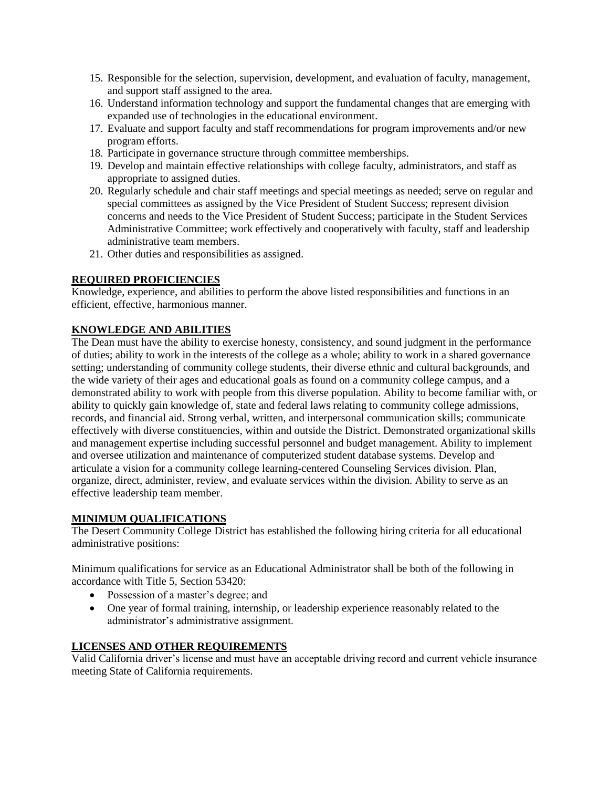- 15. Responsible for the selection, supervision, development, and evaluation of faculty, management, and support staff assigned to the area.
- 16. Understand information technology and support the fundamental changes that are emerging with expanded use of technologies in the educational environment.
- 17. Evaluate and support faculty and staff recommendations for program improvements and/or new program efforts.
- 18. Participate in governance structure through committee memberships.
- 19. Develop and maintain effective relationships with college faculty, administrators, and staff as appropriate to assigned duties.
- 20. Regularly schedule and chair staff meetings and special meetings as needed; serve on regular and special committees as assigned by the Vice President of Student Success; represent division concerns and needs to the Vice President of Student Success; participate in the Student Services Administrative Committee; work effectively and cooperatively with faculty, staff and leadership administrative team members.
- 21. Other duties and responsibilities as assigned.

### **REQUIRED PROFICIENCIES**

Knowledge, experience, and abilities to perform the above listed responsibilities and functions in an efficient, effective, harmonious manner.

# **KNOWLEDGE AND ABILITIES**

The Dean must have the ability to exercise honesty, consistency, and sound judgment in the performance of duties; ability to work in the interests of the college as a whole; ability to work in a shared governance setting; understanding of community college students, their diverse ethnic and cultural backgrounds, and the wide variety of their ages and educational goals as found on a community college campus, and a demonstrated ability to work with people from this diverse population. Ability to become familiar with, or ability to quickly gain knowledge of, state and federal laws relating to community college admissions, records, and financial aid. Strong verbal, written, and interpersonal communication skills; communicate effectively with diverse constituencies, within and outside the District. Demonstrated organizational skills and management expertise including successful personnel and budget management. Ability to implement and oversee utilization and maintenance of computerized student database systems. Develop and articulate a vision for a community college learning-centered Counseling Services division. Plan, organize, direct, administer, review, and evaluate services within the division. Ability to serve as an effective leadership team member.

## **MINIMUM QUALIFICATIONS**

The Desert Community College District has established the following hiring criteria for all educational administrative positions:

Minimum qualifications for service as an Educational Administrator shall be both of the following in accordance with Title 5, Section 53420:

- Possession of a master's degree; and
- One year of formal training, internship, or leadership experience reasonably related to the administrator's administrative assignment.

### **LICENSES AND OTHER REQUIREMENTS**

Valid California driver's license and must have an acceptable driving record and current vehicle insurance meeting State of California requirements.